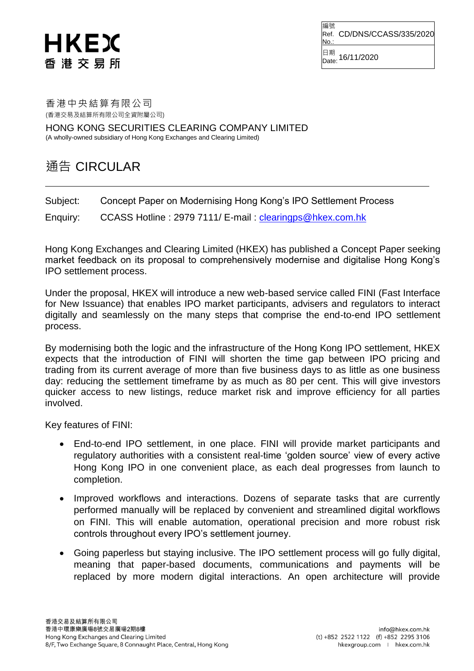## HKEX 香 港 交 易 所

編號 Ref. CD/DNS/CCASS/335/2020 No.: 日期<br><sub>Date:</sub> 16/11/2020

## 香港中央結算有限公司 (香港交易及結算所有限公司全資附屬公司)

HONG KONG SECURITIES CLEARING COMPANY LIMITED (A wholly-owned subsidiary of Hong Kong Exchanges and Clearing Limited)

## 通告 CIRCULAR

Subject: Concept Paper on Modernising Hong Kong's IPO Settlement Process

Enquiry: CCASS Hotline: 2979 7111/ E-mail: [clearingps@hkex.com.hk](mailto:clearingps@hkex.com.hk)

Hong Kong Exchanges and Clearing Limited (HKEX) has published a Concept Paper seeking market feedback on its proposal to comprehensively modernise and digitalise Hong Kong's IPO settlement process.

Under the proposal, HKEX will introduce a new web-based service called FINI (Fast Interface for New Issuance) that enables IPO market participants, advisers and regulators to interact digitally and seamlessly on the many steps that comprise the end-to-end IPO settlement process.

By modernising both the logic and the infrastructure of the Hong Kong IPO settlement, HKEX expects that the introduction of FINI will shorten the time gap between IPO pricing and trading from its current average of more than five business days to as little as one business day: reducing the settlement timeframe by as much as 80 per cent. This will give investors quicker access to new listings, reduce market risk and improve efficiency for all parties involved.

Key features of FINI:

- End-to-end IPO settlement, in one place. FINI will provide market participants and regulatory authorities with a consistent real-time 'golden source' view of every active Hong Kong IPO in one convenient place, as each deal progresses from launch to completion.
- Improved workflows and interactions. Dozens of separate tasks that are currently performed manually will be replaced by convenient and streamlined digital workflows on FINI. This will enable automation, operational precision and more robust risk controls throughout every IPO's settlement journey.
- Going paperless but staying inclusive. The IPO settlement process will go fully digital, meaning that paper-based documents, communications and payments will be replaced by more modern digital interactions. An open architecture will provide